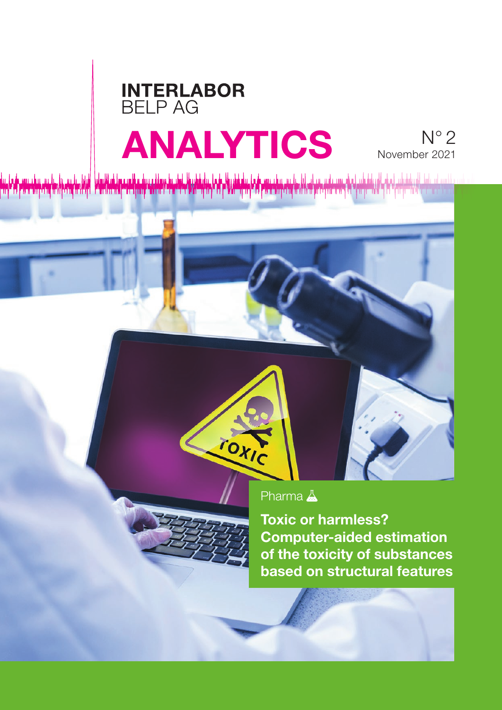## **INTERLABOR** BELP AG ANALYTICS N° 2

# November 2021

<u>,</u><br><sub></sub>

TOXIC



Toxic or harmless? Computer-aided estimation of the toxicity of substances based on structural features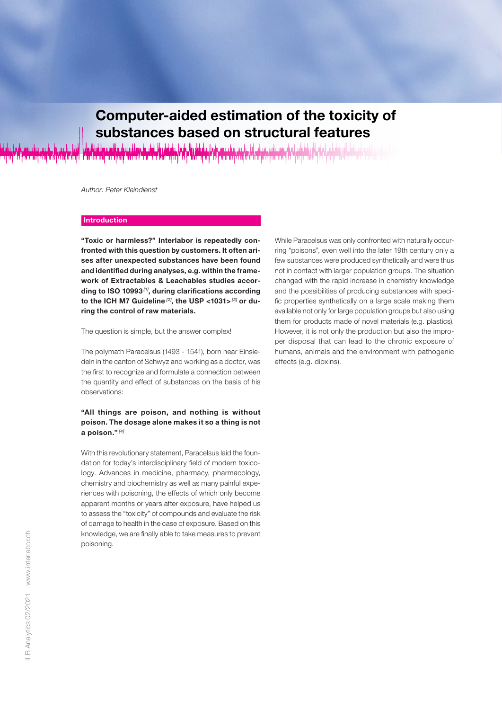# Computer-aided estimation of the toxicity of

substances based on structural features

*Author: Peter Kleindienst*

#### **Introduction**

"Toxic or harmless?" Interlabor is repeatedly confronted with this question by customers. It often arises after unexpected substances have been found and identified during analyses, e.g. within the framework of Extractables & Leachables studies according to ISO 10993 *[1]*, during clarifications according to the ICH M7 Guideline *[2]*, the USP <1031> *[3]* or during the control of raw materials.

The question is simple, but the answer complex!

The polymath Paracelsus (1493 - 1541), born near Einsiedeln in the canton of Schwyz and working as a doctor, was the first to recognize and formulate a connection between the quantity and effect of substances on the basis of his observations:

#### "All things are poison, and nothing is without poison. The dosage alone makes it so a thing is not a poison." *[4]*

With this revolutionary statement, Paracelsus laid the foundation for today's interdisciplinary field of modern toxicology. Advances in medicine, pharmacy, pharmacology, chemistry and biochemistry as well as many painful experiences with poisoning, the effects of which only become apparent months or years after exposure, have helped us to assess the "toxicity" of compounds and evaluate the risk of damage to health in the case of exposure. Based on this knowledge, we are finally able to take measures to prevent poisoning.

While Paracelsus was only confronted with naturally occurring "poisons", even well into the later 19th century only a few substances were produced synthetically and were thus not in contact with larger population groups. The situation changed with the rapid increase in chemistry knowledge and the possibilities of producing substances with specific properties synthetically on a large scale making them available not only for large population groups but also using them for products made of novel materials (e.g. plastics). However, it is not only the production but also the improper disposal that can lead to the chronic exposure of humans, animals and the environment with pathogenic effects (e.g. dioxins).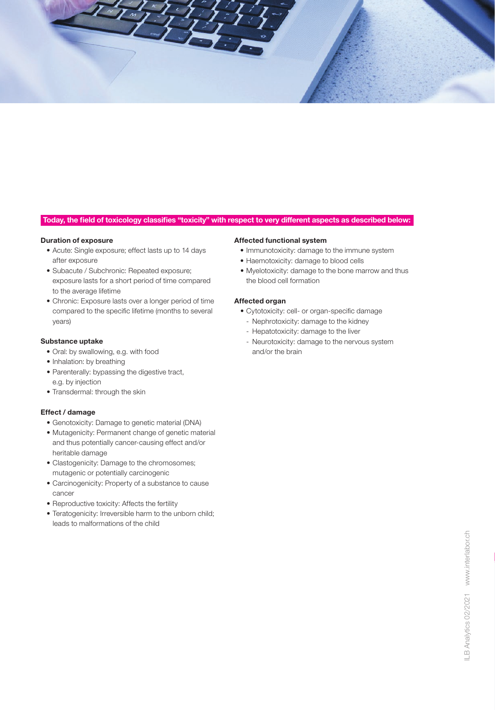

#### Today, the field of toxicology classifies "toxicity" with respect to very different aspects as described below:

#### Duration of exposure

- Acute: Single exposure; effect lasts up to 14 days after exposure
- Subacute / Subchronic: Repeated exposure; exposure lasts for a short period of time compared to the average lifetime
- Chronic: Exposure lasts over a longer period of time compared to the specific lifetime (months to several years)

#### Substance uptake

- Oral: by swallowing, e.g. with food
- Inhalation: by breathing
- Parenterally: bypassing the digestive tract, e.g. by injection
- Transdermal: through the skin

#### Effect / damage

- Genotoxicity: Damage to genetic material (DNA)
- Mutagenicity: Permanent change of genetic material and thus potentially cancer-causing effect and/or heritable damage
- Clastogenicity: Damage to the chromosomes; mutagenic or potentially carcinogenic
- Carcinogenicity: Property of a substance to cause cancer
- Reproductive toxicity: Affects the fertility
- Teratogenicity: Irreversible harm to the unborn child: leads to malformations of the child

#### Affected functional system

- Immunotoxicity: damage to the immune system
- Haemotoxicity: damage to blood cells
- Myelotoxicity: damage to the bone marrow and thus the blood cell formation

#### Affected organ

- Cytotoxicity: cell- or organ-specific damage
	- Nephrotoxicity: damage to the kidney
	- Hepatotoxicity: damage to the liver
- Neurotoxicity: damage to the nervous system and/or the brain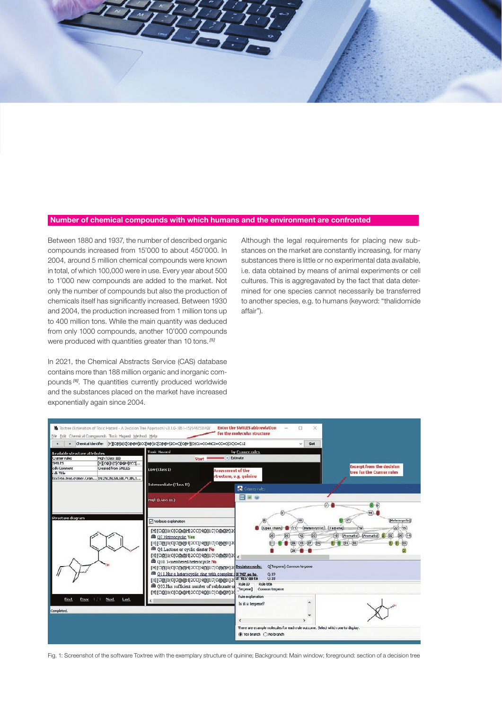#### Number of chemical compounds with which humans and the environment are confronted

Between 1880 and 1937, the number of described organic compounds increased from 15'000 to about 450'000. In 2004, around 5 million chemical compounds were known in total, of which 100,000 were in use. Every year about 500 to 1'000 new compounds are added to the market. Not only the number of compounds but also the production of chemicals itself has significantly increased. Between 1930 and 2004, the production increased from 1 million tons up to 400 million tons. While the main quantity was deduced from only 1000 compounds, another 10'000 compounds were produced with quantities greater than 10 tons. *[5]*

In 2021, the Chemical Abstracts Service (CAS) database contains more than 188 million organic and inorganic compounds *[6]*. The quantities currently produced worldwide and the substances placed on the market have increased exponentially again since 2004.

Although the legal requirements for placing new substances on the market are constantly increasing, for many substances there is little or no experimental data available, i.e. data obtained by means of animal experiments or cell cultures. This is aggregavated by the fact that data determined for one species cannot necessarily be transferred to another species, e.g. to humans (keyword: "thalidomide affair").



Fig. 1: Screenshot of the software Toxtree with the exemplary structure of quinine; Background: Main window; foreground: section of a decision tree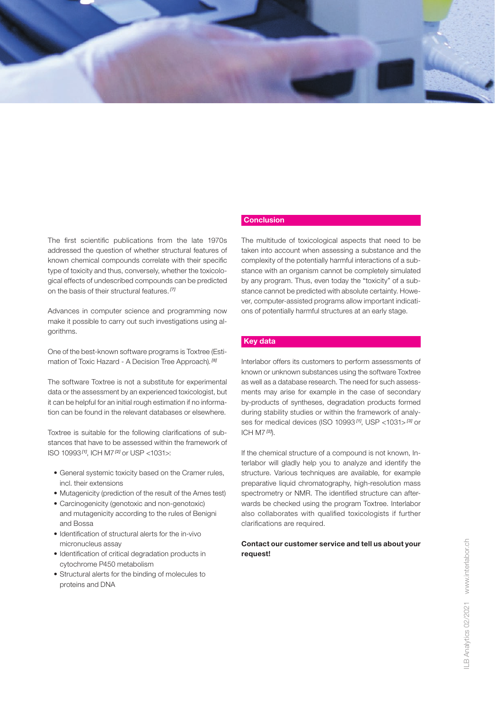

The first scientific publications from the late 1970s addressed the question of whether structural features of known chemical compounds correlate with their specific type of toxicity and thus, conversely, whether the toxicological effects of undescribed compounds can be predicted on the basis of their structural features. *[7]*

Advances in computer science and programming now make it possible to carry out such investigations using algorithms.

One of the best-known software programs is Toxtree (Estimation of Toxic Hazard - A Decision Tree Approach). *[8]*

The software Toxtree is not a substitute for experimental data or the assessment by an experienced toxicologist, but it can be helpful for an initial rough estimation if no information can be found in the relevant databases or elsewhere.

Toxtree is suitable for the following clarifications of substances that have to be assessed within the framework of ISO 10993 *[1]*, ICH M7 *[2]* or USP <1031>:

- General systemic toxicity based on the Cramer rules, incl. their extensions
- Mutagenicity (prediction of the result of the Ames test)
- Carcinogenicity (genotoxic and non-genotoxic) and mutagenicity according to the rules of Benigni and Bossa
- Identification of structural alerts for the in-vivo micronucleus assay
- Identification of critical degradation products in cytochrome P450 metabolism
- Structural alerts for the binding of molecules to proteins and DNA

#### **Conclusion**

The multitude of toxicological aspects that need to be taken into account when assessing a substance and the complexity of the potentially harmful interactions of a substance with an organism cannot be completely simulated by any program. Thus, even today the "toxicity" of a substance cannot be predicted with absolute certainty. However, computer-assisted programs allow important indications of potentially harmful structures at an early stage.

#### Key data

Interlabor offers its customers to perform assessments of known or unknown substances using the software Toxtree as well as a database research. The need for such assessments may arise for example in the case of secondary by-products of syntheses, degradation products formed during stability studies or within the framework of analyses for medical devices (ISO 10993 *[1]*, USP <1031> *[3]* or ICH M7 *[2]*).

If the chemical structure of a compound is not known, Interlabor will gladly help you to analyze and identify the structure. Various techniques are available, for example preparative liquid chromatography, high-resolution mass spectrometry or NMR. The identified structure can afterwards be checked using the program Toxtree. Interlabor also collaborates with qualified toxicologists if further clarifications are required.

#### Contact our customer service and tell us about your request!